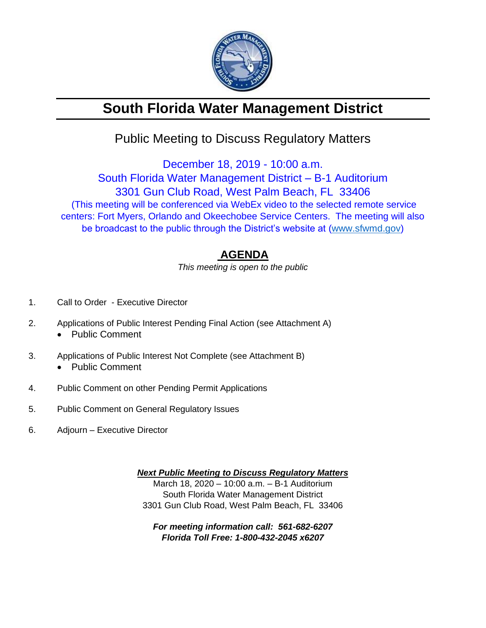

# **South Florida Water Management District**

## Public Meeting to Discuss Regulatory Matters

December 18, 2019 - 10:00 a.m. South Florida Water Management District – B-1 Auditorium 3301 Gun Club Road, West Palm Beach, FL 33406 (This meeting will be conferenced via WebEx video to the selected remote service centers: Fort Myers, Orlando and Okeechobee Service Centers. The meeting will also be broadcast to the public through the District's website at [\(www.sfwmd.gov\)](http://www.sfwmd.gov/)

### **AGENDA**

*This meeting is open to the public*

- 1. Call to Order Executive Director
- 2. Applications of Public Interest Pending Final Action (see Attachment A)
	- Public Comment
- 3. Applications of Public Interest Not Complete (see Attachment B)
	- Public Comment
- 4. Public Comment on other Pending Permit Applications
- 5. Public Comment on General Regulatory Issues
- 6. Adjourn Executive Director

*Next Public Meeting to Discuss Regulatory Matters* March 18, 2020 – 10:00 a.m. – B-1 Auditorium South Florida Water Management District 3301 Gun Club Road, West Palm Beach, FL 33406

*For meeting information call: 561-682-6207 Florida Toll Free: 1-800-432-2045 x6207*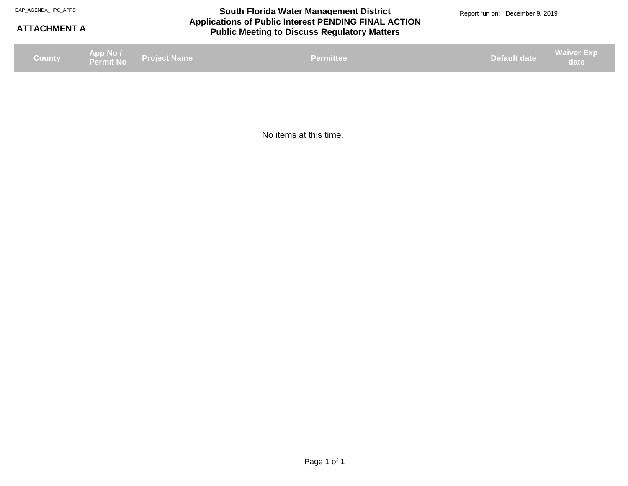#### **Applications of Public Interest PENDING FINAL ACTION Public Meeting to Discuss Regulatory Matters** BAP\_AGENDA\_HPC\_APPS **South Florida Water Management District** BAP\_AGENDA\_HPC\_APPS Report run on: December 9, 2019

#### **ATTACHMENT A**

**Project Name App No / Permit No County Default date Waiver Exp date Permittee date Permittee date Permittee date Permittee date date date date date date** 

No items at this time.